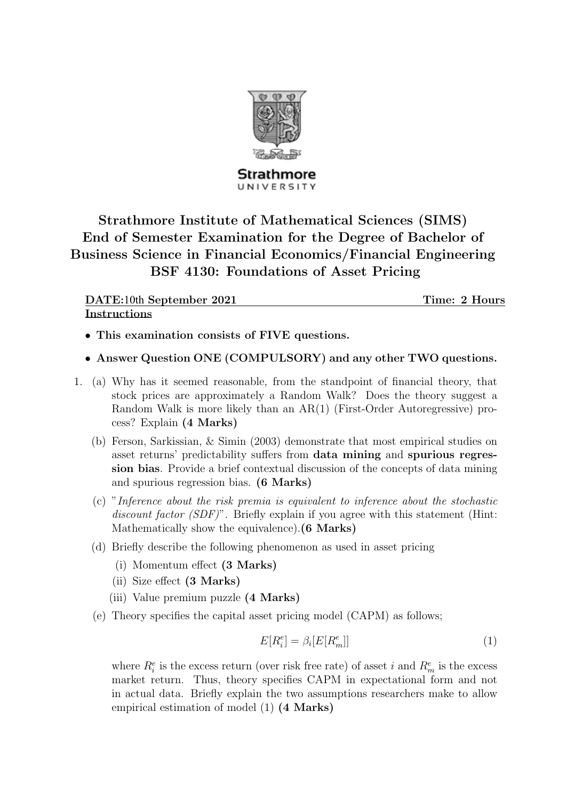

Strathmore UNIVERSITY

## Strathmore Institute of Mathematical Sciences (SIMS) End of Semester Examination for the Degree of Bachelor of Business Science in Financial Economics/Financial Engineering BSF 4130: Foundations of Asset Pricing

| DATE:10th September 2021 | Time: 2 Hours |
|--------------------------|---------------|
| <b>Instructions</b>      |               |

- This examination consists of FIVE questions.
- Answer Question ONE (COMPULSORY) and any other TWO questions.
- 1. (a) Why has it seemed reasonable, from the standpoint of financial theory, that stock prices are approximately a Random Walk? Does the theory suggest a Random Walk is more likely than an AR(1) (First-Order Autoregressive) process? Explain (4 Marks)
	- (b) Ferson, Sarkissian, & Simin (2003) demonstrate that most empirical studies on asset returns' predictability suffers from data mining and spurious regression bias. Provide a brief contextual discussion of the concepts of data mining and spurious regression bias. (6 Marks)
	- (c) "Inference about the risk premia is equivalent to inference about the stochastic discount factor (SDF)". Briefly explain if you agree with this statement (Hint: Mathematically show the equivalence).(6 Marks)
	- (d) Briefly describe the following phenomenon as used in asset pricing
		- (i) Momentum effect (3 Marks)
		- (ii) Size effect (3 Marks)
		- (iii) Value premium puzzle (4 Marks)
	- (e) Theory specifies the capital asset pricing model (CAPM) as follows;

$$
E[R_i^e] = \beta_i[E[R_m^e]] \tag{1}
$$

where  $R_i^e$  is the excess return (over risk free rate) of asset i and  $R_m^e$  is the excess market return. Thus, theory specifies CAPM in expectational form and not in actual data. Briefly explain the two assumptions researchers make to allow empirical estimation of model (1) (4 Marks)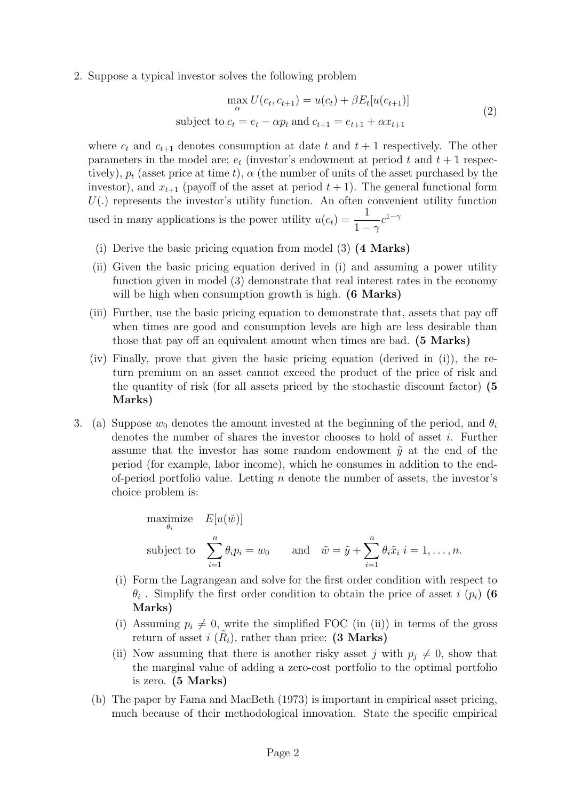2. Suppose a typical investor solves the following problem

$$
\max_{\alpha} U(c_t, c_{t+1}) = u(c_t) + \beta E_t[u(c_{t+1})]
$$
  
subject to  $c_t = e_t - \alpha p_t$  and  $c_{t+1} = e_{t+1} + \alpha x_{t+1}$  (2)

where  $c_t$  and  $c_{t+1}$  denotes consumption at date t and  $t + 1$  respectively. The other parameters in the model are;  $e_t$  (investor's endowment at period t and  $t + 1$  respectively),  $p_t$  (asset price at time t),  $\alpha$  (the number of units of the asset purchased by the investor), and  $x_{t+1}$  (payoff of the asset at period  $t+1$ ). The general functional form  $U(.)$  represents the investor's utility function. An often convenient utility function used in many applications is the power utility  $u(c_t) = \frac{1}{1-\gamma}$  $c^{1-\gamma}$ 

- (i) Derive the basic pricing equation from model (3) (4 Marks)
- (ii) Given the basic pricing equation derived in (i) and assuming a power utility function given in model (3) demonstrate that real interest rates in the economy will be high when consumption growth is high. (6 Marks)
- (iii) Further, use the basic pricing equation to demonstrate that, assets that pay off when times are good and consumption levels are high are less desirable than those that pay off an equivalent amount when times are bad. (5 Marks)
- (iv) Finally, prove that given the basic pricing equation (derived in (i)), the return premium on an asset cannot exceed the product of the price of risk and the quantity of risk (for all assets priced by the stochastic discount factor) (5 Marks)
- 3. (a) Suppose  $w_0$  denotes the amount invested at the beginning of the period, and  $\theta_i$ denotes the number of shares the investor chooses to hold of asset i. Further assume that the investor has some random endowment  $\tilde{y}$  at the end of the period (for example, labor income), which he consumes in addition to the endof-period portfolio value. Letting  $n$  denote the number of assets, the investor's choice problem is:

maximize 
$$
E[u(\tilde{w})]
$$
  
\nsubject to  $\sum_{i=1}^{n} \theta_i p_i = w_0$  and  $\tilde{w} = \tilde{y} + \sum_{i=1}^{n} \theta_i \tilde{x}_i \ i = 1, ..., n$ .

- (i) Form the Lagrangean and solve for the first order condition with respect to  $\theta_i$ . Simplify the first order condition to obtain the price of asset i  $(p_i)$  (6 Marks)
- (i) Assuming  $p_i \neq 0$ , write the simplified FOC (in (ii)) in terms of the gross return of asset  $i\ (\tilde{R}_i)$ , rather than price: (3 Marks)
- (ii) Now assuming that there is another risky asset j with  $p_j \neq 0$ , show that the marginal value of adding a zero-cost portfolio to the optimal portfolio is zero. (5 Marks)
- (b) The paper by Fama and MacBeth (1973) is important in empirical asset pricing, much because of their methodological innovation. State the specific empirical